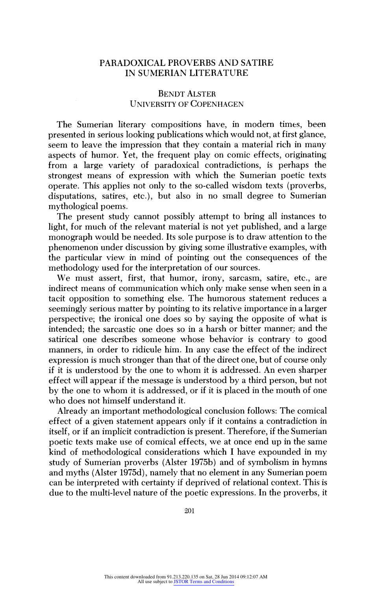## **PARADOXICAL PROVERBS AND SATIRE IN SUMERIAN LITERATURE**

# **BENDT ALSTER UNIVERSITY OF COPENHAGEN**

**The Sumerian literary compositions have, in modern times, been presented in serious looking publications which would not, at first glance, seem to leave the impression that they contain a material rich in many aspects of humor. Yet, the frequent play on comic effects, originating from a large variety of paradoxical contradictions, is perhaps the strongest means of expression with which the Sumerian poetic texts operate. This applies not only to the so-called wisdom texts (proverbs, disputations, satires, etc.), but also in no small degree to Sumerian mythological poems.** 

**The present study cannot possibly attempt to bring all instances to light, for much of the relevant material is not yet published, and a large monograph would be needed. Its sole purpose is to draw attention to the phenomenon under discussion by giving some illustrative examples, with the particular view in mind of pointing out the consequences of the methodology used for the interpretation of our sources.** 

**We must assert, first, that humor, irony, sarcasm, satire, etc., are indirect means of communication which only make sense when seen in a tacit opposition to something else. The humorous statement reduces a seemingly serious matter by pointing to its relative importance in a larger perspective; the ironical one does so by saying the opposite of what is intended; the sarcastic one does so in a harsh or bitter manner: and the satirical one describes someone whose behavior is contrary to good manners, in order to ridicule him. In any case the effect of the indirect expression is much stronger than that of the direct one, but of course only if it is understood by the one to whom it is addressed. An even sharper effect will appear if the message is understood by a third person, but not by the one to whom it is addressed, or if it is placed in the mouth of one who does not himself understand it.** 

**Already an important methodological conclusion follows: The comical effect of a given statement appears only if it contains a contradiction in itself, or if an implicit contradiction is present. Therefore, if the Sumerian poetic texts make use of comical effects, we at once end up in the same kind of methodological considerations which I have expounded in my study of Sumerian proverbs (Alster 1975b) and of symbolism in hymns and myths (Alster 1975d), namely that no element in any Sumerian poem can be interpreted with certainty if deprived of relational context. This is due to the multi-level nature of the poetic expressions. In the proverbs, it** 

**201**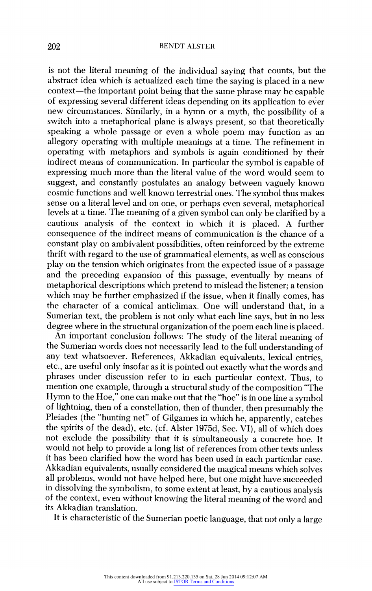**is not the literal meaning of the individual saying that counts, but the abstract idea which is actualized each time the saying is placed in a new context-the important point being that the same phrase may be capable of expressing several different ideas depending on its application to ever new circumstances. Similarly, in a hymn or a myth, the possibility of a switch into a metaphorical plane is always present, so that theoretically speaking a whole passage or even a whole poem may function as an allegory operating with multiple meanings at a time. The refinement in operating with metaphors and symbols is again conditioned by their indirect means of communication. In particular the symbol is capable of expressing much more than the literal value of the word would seem to suggest, and constantly postulates an analogy between vaguely known cosmic functions and well known terrestrial ones. The symbol thus makes sense on a literal level and on one, or perhaps even several, metaphorical levels at a time. The meaning of a given symbol can only be clarified by a cautious analysis of the context in which it is placed. A further consequence of the indirect means of communication is the chance of a constant play on ambivalent possibilities, often reinforced by the extreme thrift with regard to the use of grammatical elements, as well as conscious play on the tension which originates from the expected issue of a passage and the preceding expansion of this passage, eventually by means of metaphorical descriptions which pretend to mislead the listener; a tension which may be further emphasized if the issue, when it finally comes, has the character of a comical anticlimax. One will understand that, in a Sumerian text, the problem is not only what each line says, but in no less degree where in the structural organization of the poem each line is placed.** 

**An important conclusion follows: The study of the literal meaning of the Sumerian words does not necessarily lead to the full understanding of any text whatsoever. References, Akkadian equivalents, lexical entries, etc., are useful only insofar as it is pointed out exactly what the words and phrases under discussion refer to in each particular context. Thus, to mention one example, through a structural study of the composition "The Hymn to the Hoe," one can make out that the "hoe" is in one line a symbol of lightning, then of a constellation, then of thunder, then presumably the Pleiades (the "hunting net" of Gilgames in which he, apparently, catches the spirits of the dead), etc. (cf. Alster 1975d, Sec. VI), all of which does not exclude the possibility that it is simultaneously a concrete hoe. It would not help to provide a long list of references from other texts unless it has been clarified how the word has been used in each particular case. Akkadian equivalents, usually considered the magical means which solves all problems, would not have helped here, but one might have succeeded in dissolving the symbolism, to some extent at least, by a cautious analysis of the context, even without knowing the literal meaning of the word and its Akkadian translation.** 

**It is characteristic of the Sumerian poetic language, that not only a large**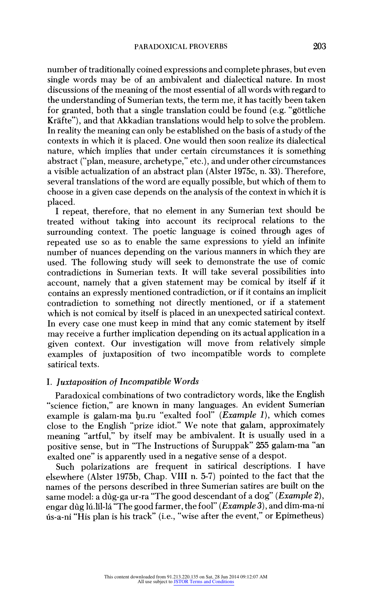**number of traditionally coined expressions and complete phrases, but even single words may be of an ambivalent and dialectical nature. In most discussions of the meaning of the most essential of all words with regard to the understanding of Sumerian texts, the term me, it has tacitly been taken for granted, both that a single translation could be found (e.g. "g6ttliche Krafte"), and that Akkadian translations would help to solve the problem. In reality the meaning can only be established on the basis of a study of the contexts in which it is placed. One would then soon realize its dialectical nature, which implies that under certain circumstances it is something abstract ("plan, measure, archetype," etc.), and under other circumstances a visible actualization of an abstract plan (Alster 1975c, n. 33). Therefore, several translations of the word are equally possible, but which of them to choose in a given case depends on the analysis of the context in which it is placed.** 

**I repeat, therefore, that no element in any Sumerian text should be treated without taking into account its reciprocal relations to the surrounding context. The poetic language is coined through ages of repeated use so as to enable the same expressions to yield an infinite number of nuances depending on the various manners in which they are used. The following study will seek to demonstrate the use of comic contradictions in Sumerian texts. It will take several possibilities into account, namely that a given statement may be comical by itself if it contains an expressly mentioned contradiction, or if it contains an implicit contradiction to something not directly mentioned, or if a statement which is not comical by itself is placed in an unexpected satirical context. In every case one must keep in mind that any comic statement by itself may receive a further implication depending on its actual application in a given context. Our investigation will move from relatively simple examples of juxtaposition of two incompatible words to complete satirical texts.** 

### **I. Juxtaposition of Incompatible Words**

**Paradoxical combinations of two contradictory words, like the English "science fiction," are known in many languages. An evident Sumerian example is galam-ma bu.ru "exalted fool" (Example 1), which comes close to the English "prize idiot." We note that galam, approximately meaning "artful," by itself may be ambivalent. It is usually used in a positive sense, but in "The Instructions of Suruppak" 255 galam-ma "an exalted one" is apparently used in a negative sense of a despot.** 

**Such polarizations are frequent in satirical descriptions. I have elsewhere (Alster 1975b, Chap. VIII n. 5-7) pointed to the fact that the names of the persons described in three Sumerian satires are built on the same model: a dug-ga ur-ra "The good descendant of a dog" (Example 2), engar dug lu.lil-la "The good farmer, the fool" (Example 3), and dim-ma-ni us-a-ni "His plan is his track" (i.e., "wise after the event," or Epimetheus)**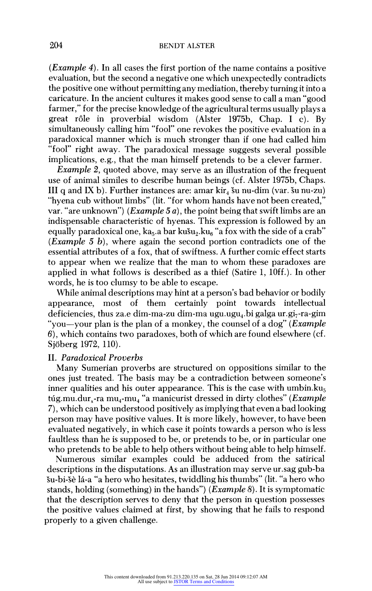**(Example 4). In all cases the first portion of the name contains a positive evaluation, but the second a negative one which unexpectedly contradicts the positive one without permitting any mediation, thereby turning it into a caricature. In the ancient cultures it makes good sense to call a man "good farmer," for the precise knowledge of the agricultural terms usually plays a great role in proverbial wisdom (Alster 1975b, Chap. I c). By simultaneously calling him "fool" one revokes the positive evaluation in a paradoxical manner which is much stronger than if one had called him "fool" right away. The paradoxical message suggests several possible implications, e.g., that the man himself pretends to be a clever farmer.** 

**Example 2, quoted above, may serve as an illustration of the frequent use of animal similes to describe human beings (cf. Alster 1975b, Chaps. III** q and IX b). Further instances are: amar  $\text{kir}_4$  šu nu-dim (var. šu nu-zu) **"hyena cub without limbs" (lit. "for whom hands have not been created," var. "are unknown") (Example 5 a), the point being that swift limbs are an indispensable characteristic of hyenas. This expression is followed by an**  equally paradoxical one, ka<sub>5</sub>.a bar kušu<sub>2</sub>.ku<sub>6</sub> "a fox with the side of a crab" **(Example 5 b), where again the second portion contradicts one of the essential attributes of a fox, that of swiftness. A further comic effect starts to appear when we realize that the man to whom these paradoxes are applied in what follows is described as a thief (Satire 1, 10ff.). In other words, he is too clumsy to be able to escape.** 

While animal descriptions may hint at a person's bad behavior or bodily appearance, most of them certainly point towards intellectual them certainly point towards intellectual deficiencies, thus za.e dim-ma-zu dim-ma ugu.ugu<sub>4</sub>.bi galga ur.gi<sub>7</sub>-ra-gim "you—your plan is the plan of a monkey, the counsel of a dog" (*Example* **6), which contains two paradoxes, both of which are found elsewhere (cf. Sj6berg 1972, 110).** 

#### **II. Paradoxical Proverbs**

**Many Sumerian proverbs are structured on oppositions similar to the ones just treated. The basis may be a contradiction between someone's**  inner qualities and his outer appearance. This is the case with umbin.ku<sub>5</sub> túg.mu.dur<sub>x</sub>-ra mu<sub>4</sub>-mu<sub>4</sub> "a manicurist dressed in dirty clothes" (*Example* **7), which can be understood positively as implying that even a bad looking person may have positive values. It is more likely, however, to have been evaluated negatively, in which case it points towards a person who is less faultless than he is supposed to be, or pretends to be, or in particular one who pretends to be able to help others without being able to help himself.** 

**Numerous similar examples could be adduced from the satirical descriptions in the disputations. As an illustration may serve ur.sag gub-ba su-bi-se la-a "a hero who hesitates, twiddling his thumbs" (lit. "a hero who stands, holding (something) in the hands") (Example 8). It is symptomatic that the description serves to deny that the person in question possesses the positive values claimed at first, by showing that he fails to respond properly to a given challenge.**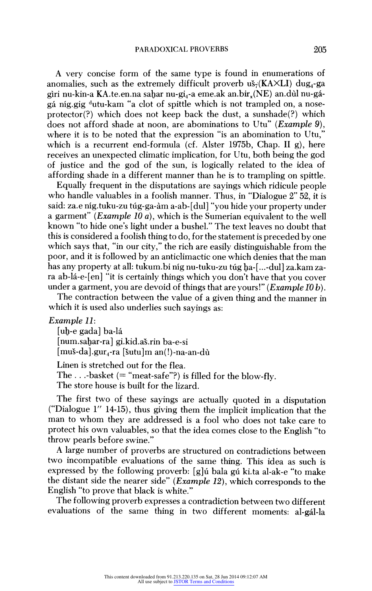**A very concise form of the same type is found in enumerations of**  anomalies, such as the extremely difficult proverb us<sub>7</sub>(KAXLI) dug<sub>4</sub>-ga gìri nu-kin-a KA.te.en.na sahar nu-gi<sub>4</sub>-a eme.ak an.bir<sub>x</sub>(NE) an.dùl nu-gá**ga nig.gig dutu-kam "a clot of spittle which is not trampled on, a noseprotector(?) which does not keep back the dust, a sunshade(?) which does not afford shade at noon, are abominations to Utu" (Example 9), where it is to be noted that the expression "is an abomination to Utu," which is a recurrent end-formula (cf. Alster 1975b, Chap. II g), here receives an unexpected climatic implication, for Utu, both being the god of justice and the god of the sun, is logically related to the idea of affording shade in a different manner than he is to trampling on spittle.** 

**Equally frequent in the disputations are sayings which ridicule people who handle valuables in a foolish manner. Thus, in "Dialogue 2" 52, it is**  said: za.e níg.tuku-zu túg-ga-àm a-ab-[dul] "you hide your property under **a garment" (Example 10 a), which is the Sumerian equivalent to the well known "to hide one's light under a bushel." The text leaves no doubt that this is considered a foolish thing to do, for the statement is preceded by one which says that, "in our city," the rich are easily distinguishable from the poor, and it is followed by an anticlimactic one which denies that the man has any property at all: tukum.bi nig nu-tuku-zu tig ba-[...-dul] za.kam zara ab-la-e-[en] "it is certainly things which you don't have that you cover under a garment, you are devoid of things that are yours!" (Example 10 b).** 

**The contraction between the value of a given thing and the manner in which it is used also underlies such sayings as:** 

#### **Example 11:**

**[uh-e gada] ba-la [num.sahar-ra] gi.kid.as.rin ba-e-si [mus-da].gur4-ra [sutu]m an(!)-na-an-du** 

**Linen is stretched out for the flea.** 

**The .. .-basket (= "meat-safe"?) is filled for the blow-fly.** 

**The store house is built for the lizard.** 

**The first two of these sayings are actually quoted in a disputation ("Dialogue 1" 14-15), thus giving them the implicit implication that the man to whom they are addressed is a fool who does not take care to protect his own valuables, so that the idea comes close to the English "to throw pearls before swine."** 

**A large number of proverbs are structured on contradictions between two incompatible evaluations of the same thing. This idea as such is**  expressed by the following proverb: [g]u bala gu ki.ta al-ak-e "to make **the distant side the nearer side" (Example 12), which corresponds to the English "to prove that black is white."** 

**The following proverb expresses a contradiction between two different evaluations of the same thing in two different moments: al-gal-la**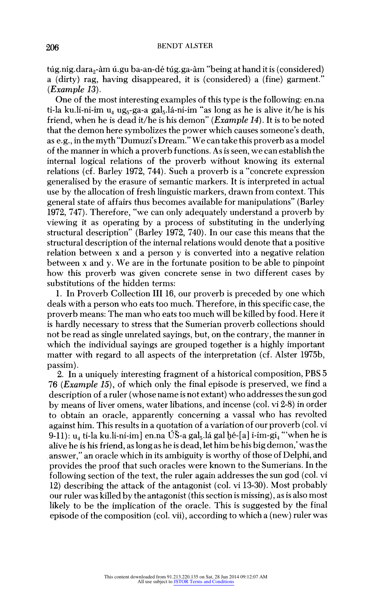túg.níg.dara<sub>2</sub>-àm ú.gu ba-an-dé túg.ga-àm "being at hand it is (considered) **a (dirty) rag, having disappeared, it is (considered) a (fine) garment." (Example 13).** 

**One of the most interesting examples of this type is the following: en.na**  ti-la ku.li-ni-im u<sub>4</sub> ug<sub>5</sub>-ga-a gal<sub>5</sub>.lá-ni-im "as long as he is alive it/he is his **friend, when he is dead it/he is his demon" (Example 14). It is to be noted that the demon here symbolizes the power which causes someone's death, as e.g., in the myth "Dumuzi's Dream." We can take this proverb as a model of the manner in which a proverb functions. As is seen, we can establish the internal logical relations of the proverb without knowing its external relations (cf. Barley 1972, 744). Such a proverb is a "concrete expression generalised by the erasure of semantic markers. It is interpreted in actual use by the allocation of fresh linguistic markers, drawn from context. This general state of affairs thus becomes available for manipulations" (Barley 1972, 747). Therefore, "we can only adequately understand a proverb by viewing it as operating by a process of substituting in the underlying structural description" (Barley 1972, 740). In our case this means that the structural description of the internal relations would denote that a positive relation between x and a person y is converted into a negative relation between x and y. We are in the fortunate position to be able to pinpoint how this proverb was given concrete sense in two different cases by substitutions of the hidden terms:** 

**1. In Proverb Collection III 16, our proverb is preceded by one which deals with a person who eats too much. Therefore, in this specific case, the proverb means: The man who eats too much will be killed by food. Here it is hardly necessary to stress that the Sumerian proverb collections should not be read as single unrelated sayings, but, on the contrary, the manner in which the individual sayings are grouped together is a highly important matter with regard to all aspects of the interpretation (cf. Alster 1975b, passim).** 

**2. In a uniquely interesting fragment of a historical composition, PBS 5 76 (Example 15), of which only the final episode is preserved, we find a description of a ruler (whose name is not extant) who addresses the sun god by means of liver omens, water libations, and incense (col. vi 2-8) in order to obtain an oracle, apparently concerning a vassal who has revolted against him. This results in a quotation of a variation of our proverb (col. vi 9-11**):  $u_4$  ti-la ku.li-ni-im] en.na ÚŠ-a gal<sub>5</sub>. lá gal  $\beta$ é-[a] i-im-gi<sub>4</sub> "when he is **alive he is his friend, as long as he is dead, let him be his big demon,' was the answer," an oracle which in its ambiguity is worthy of those of Delphi, and provides the proof that such oracles were known to the Sumerians. In the following section of the text, the ruler again addresses the sun god (col. vi 12) describing the attack of the antagonist (col. vi 13-30). Most probably our ruler was killed by the antagonist (this section is missing), as is also most likely to be the implication of the oracle. This is suggested by the final episode of the composition (col. vii), according to which a (new) ruler was**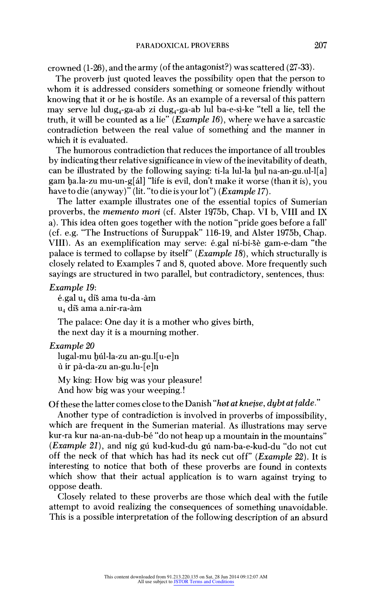**crowned (1-26), and the army (of the antagonist?) was scattered (27-33).** 

**The proverb just quoted leaves the possibility open that the person to whom it is addressed considers something or someone friendly without knowing that it or he is hostile. As an example of a reversal of this pattern**  may serve lul dug<sub>4</sub>-ga-ab zi dug<sub>4</sub>-ga-ab lul ba-e-si-ke "tell a lie, tell the **truth, it will be counted as a lie" (Example 16), where we have a sarcastic contradiction between the real value of something and the manner in which it is evaluated.** 

**The humorous contradiction that reduces the importance of all troubles by indicating their relative significance in view of the inevitability of death, can be illustrated by the following saying: ti-la lul-la hul na-an-gu.ul-l[a] gam ha.la-zu mu-un-g[al] "life is evil, don't make it worse (than it is), you have to die (anyway)" (lit. "to die is your lot") (Example 17).** 

**The latter example illustrates one of the essential topics of Sumerian proverbs, the memento mori (cf. Alster 1975b, Chap. VI b, VIII and IX a). This idea often goes together with the notion "pride goes before a fall' (cf. e.g. "The Instructions of Suruppak" 116-19, and Alster 1975b, Chap. VIII). As an exemplification may serve: e.gal ni-bi-se gam-e-dam "the palace is termed to collapse by itself" (Example 18), which structurally is closely related to Examples 7 and 8, quoted above. More frequently such sayings are structured in two parallel, but contradictory, sentences, thus:** 

**Example 19:** 

**e.gal u4 dis ama tu-da-am u4 dis ama a.nir-ra-am** 

**The palace: One day it is a mother who gives birth, the next day it is a mourning mother.** 

**Example 20** 

**lugal-mu huil-la-zu an-gu.l[u-e]n u ir pa-da-zu an-gu.lu-[e]n** 

**My king: How big was your pleasure! And how big was your weeping.!** 

**Of these the latter comes close to the Danish "hot at kneise, dybt at falde."** 

**Another type of contradiction is involved in proverbs of impossibility, which are frequent in the Sumerian material. As illustrations may serve kur-ra kur na-an-na-dub-be "do not heap up a mountain in the mountains" (Example 21), and nig gui kud-kud-du gui nam-ba-e-kud-du "do not cut off the neck of that which has had its neck cut off" (Example 22). It is interesting to notice that both of these proverbs are found in contexts which show that their actual application is to warn against trying to oppose death.** 

**Closely related to these proverbs are those which deal with the futile attempt to avoid realizing the consequences of something unavoidable. This is a possible interpretation of the following description of an absurd**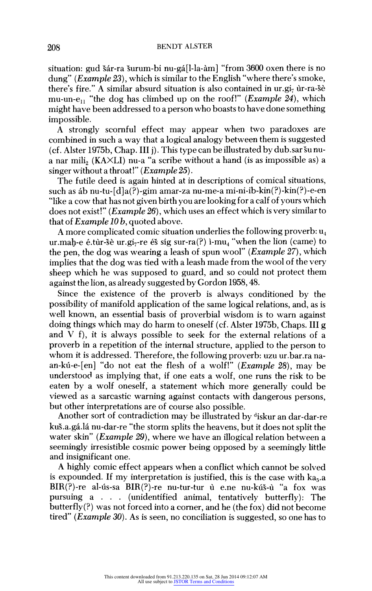**situation: gud sar-ra surum-bi nu-ga[l-la-am] "from 3600 oxen there is no dung" (Example 23), which is similar to the English "where there's smoke, there's fire." A similar absurd situation is also contained in ur.gi, ur-ra-se mu-un-ell "the dog has climbed up on the roof!" (Example 24), which might have been addressed to a person who boasts to have done something impossible.** 

**A strongly scornful effect may appear when two paradoxes are combined in such a way that a logical analogy between them is suggested (cf. Alster 1975b, Chap. III j). This type can be illustrated by dub.sar su nua** nar mili, (KAXLI) nu-a "a scribe without a hand (is as impossible as) a **singer without a throat!" (Example 25).** 

**The futile deed is again hinted at in descriptions of comical situations, such as ab nu-tu-[d]a(?)-gim amar-za nu-me-a mi-ni-ib-kin(?)-kin(?)-e-en "like a cow that has not given birth you are looking for a calf of yours which does not exist!" (Example 26), which uses an effect which is very similar to that of Example 10 b, quoted above.** 

**A more complicated comic situation underlies the following proverb: U4**   $ur.\text{mah-e}$  é.tùr-šè ur.gi<sub>7</sub>-re és sig sur-ra(?) *i-mu<sub>4</sub>* "when the lion (came) to **the pen, the dog was wearing a leash of spun wool" (Example 27), which implies that the dog was tied with a leash made from the wool of the very sheep which he was supposed to guard, and so could not protect them against the lion, as already suggested by Gordon 1958,48.** 

**Since the existence of the proverb is always conditioned by the possibility of manifold application of the same logical relations, and, as is well known, an essential basis of proverbial wisdom is to warn against doing things which may do harm to oneself (cf. Alster 1975b, Chaps. III g and V f), it is always possible to seek for the external relations of a proverb in a repetition of the internal structure, applied to the person to whom it is addressed. Therefore, the following proverb: uzu ur.bar.ra naan-kui-e-[en] "do not eat the flesh of a wolf!" (Example 28), may be understood as implying that, if one eats a wolf, one runs the risk to be eaten by a wolf oneself, a statement which more generally could be viewed as a sarcastic warning against contacts with dangerous persons, but other interpretations are of course also possible.** 

Another sort of contradiction may be illustrated by diskur an dar-dar-re **kus.a.ga.la nu-dar-re "the storm splits the heavens, but it does not split the water skin" (Example 29), where we have an illogical relation between a seemingly irresistible cosmic power being opposed by a seemingly little and insignificant one.** 

**A highly comic effect appears when a conflict which cannot be solved**  is expounded. If my interpretation is justified, this is the case with  $ka<sub>5</sub>$ .a **BIR(?)-re al-uis-sa BIR(?)-re nu-tur-tur ui e.ne nu-kuis-u "a fox was pursuing a . . . (unidentified animal, tentatively butterfly): The butterfly(?) was not forced into a corner, and he (the fox) did not become tired" (Example 30). As is seen, no conciliation is suggested, so one has to**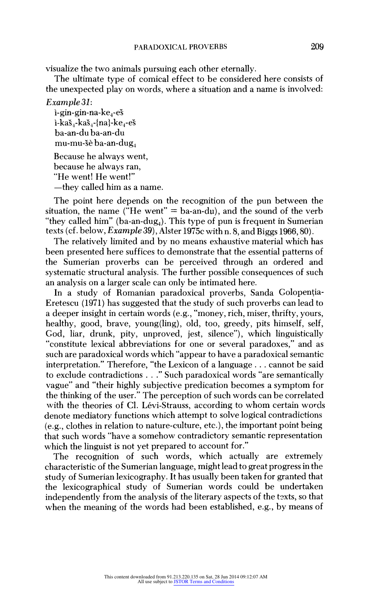**visualize the two animals pursuing each other eternally.** 

**The ultimate type of comical effect to be considered here consists of the unexpected play on words, where a situation and a name is involved:** 

**Example 31: i-gin-gin-na-ke4-es i-kas4-kaS4-{na}-ke4-es ba-an-du ba-an-du mu-mu-se ba-an-dug4** 

**Because he always went, because he always ran, "He went! He went!" -they called him as a name.** 

**The point here depends on the recognition of the pun between the situation, the name ("He went" = ba-an-du), and the sound of the verb**  "they called him" (ba-an-dug<sub>4</sub>). This type of pun is frequent in Sumerian **texts (cf. below, Example 39), Alster 1975c with n. 8, and Biggs 1966,80).** 

**The relatively limited and by no means exhaustive material which has been presented here suffices to demonstrate that the essential patterns of the Sumerian proverbs can be perceived through an ordered and systematic structural analysis. The further possible consequences of such an analysis on a larger scale can only be intimated here.** 

**In a study of Romanian paradoxical proverbs, Sanda Golopentia-Eretescu (1971) has suggested that the study of such proverbs can lead to a deeper insight in certain words (e.g., "money, rich, miser, thrifty, yours, healthy, good, brave, young(ling), old, too, greedy, pits himself, self, God, liar, drunk, pity, unproved, jest, silence"), which linguistically "constitute lexical abbreviations for one or several paradoxes," and as such are paradoxical words which "appear to have a paradoxical semantic interpretation." Therefore, "the Lexicon of a language . .. cannot be said to exclude contradictions .. ." Such paradoxical words "are semantically vague" and "their highly subjective predication becomes a symptom for the thinking of the user." The perception of such words can be correlated**  with the theories of Cl. Lévi-Strauss, according to whom certain words **denote mediatory functions which attempt to solve logical contradictions (e.g., clothes in relation to nature-culture, etc.), the important point being that such words "have a somehow contradictory semantic representation which the linguist is not yet prepared to account for."** 

**The recognition of such words, which actually are extremely characteristic of the Sumerian language, might lead to great progress in the study of Sumerian lexicography. It has usually been taken for granted that the lexicographical study of Sumerian words could be undertaken independently from the analysis of the literary aspects of the texts, so that when the meaning of the words had been established, e.g., by means of**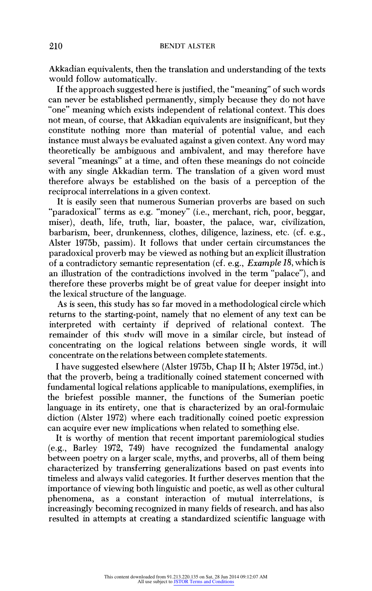**Akkadian equivalents, then the translation and understanding of the texts would follow automatically.** 

**If the approach suggested here is justified, the "meaning" of such words can never be established permanently, simply because they do not have "one" meaning which exists independent of relational context. This does not mean, of course, that Akkadian equivalents are insignificant, but they constitute nothing more than material of potential value, and each instance must always be evaluated against a given context. Any word may theoretically be ambiguous and ambivalent, and may therefore have several "meanings" at a time, and often these meanings do not coincide with any single Akkadian term. The translation of a given word must therefore always be established on the basis of a perception of the reciprocal interrelations in a given context.** 

**It is easily seen that numerous Sumerian proverbs are based on such "paradoxical" terms as e.g. "money" (i.e., merchant, rich, poor, beggar, miser), death, life, truth, liar, boaster, the palace, war, civilization, barbarism, beer, drunkenness, clothes, diligence, laziness, etc. (cf. e.g., Alster 1975b, passim). It follows that under certain circumstances the paradoxical proverb may be viewed as nothing but an explicit illustration of a contradictory semantic representation (cf. e.g., Example 18, which is an illustration of the contradictions involved in the term "palace"), and therefore these proverbs might be of great value for deeper insight into the lexical structure of the language.** 

**As is seen, this study has so far moved in a methodological circle which returns to the starting-point, namely that no element of any text can be interpreted with certainty if deprived of relational context. The**  remainder of this study will move in a similar circle, but instead of **concentrating on the logical relations between single words, it will concentrate on the relations between complete statements.** 

**I have suggested elsewhere (Alster 1975b, Chap II h; Alster 1975d, int.) that the proverb, being a traditionally coined statement concerned with fundamental logical relations applicable to manipulations, exemplifies, in the briefest possible manner, the functions of the Sumerian poetic language in its entirety, one that is characterized by an oral-formulaic diction (Alster 1972) where each traditionally coined poetic expression can acquire ever new implications when related to something else.** 

**It is worthy of mention that recent important paremiological studies (e.g., Barley 1972, 749) have recognized the fundamental analogy between poetry on a larger scale, myths, and proverbs, all of them being characterized by transferring generalizations based on past events into timeless and always valid categories. It further deserves mention that the importance of viewing both linguistic and poetic, as well as other cultural phenomena, as a constant interaction of mutual interrelations, is increasingly becoming recognized in many fields of research, and has also resulted in attempts at creating a standardized scientific language with**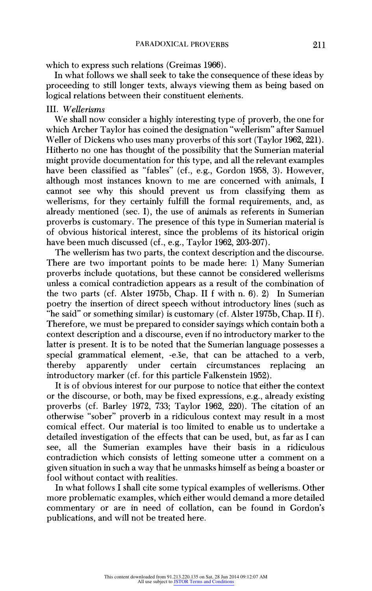**which to express such relations (Greimas 1966).** 

**In what follows we shall seek to take the consequence of these ideas by proceeding to still longer texts, always viewing them as being based on logical relations between their constituent elements.** 

#### **III. Wellerisms**

**We shall now consider a highly interesting type of proverb, the one for which Archer Taylor has coined the designation "wellerism" after Samuel Weller of Dickens who uses many proverbs of this sort (Taylor 1962, 221). Hitherto no one has thought of the possibility that the Sumerian material might provide documentation for this type, and all the relevant examples have been classified as "fables" (cf., e.g., Gordon 1958, 3). However, although most instances known to me are concerned with animals, I cannot see why this should prevent us from classifying them as wellerisms, for they certainly fulfill the formal requirements, and, as already mentioned (sec. I), the use of animals as referents in Sumerian proverbs is customary. The presence of this type in Sumerian material is of obvious historical interest, since the problems of its historical origin have been much discussed (cf., e.g., Taylor 1962, 203-207).** 

**The wellerism has two parts, the context description and the discourse. There are two important points to be made here: 1) Many Sumerian proverbs include quotations, but these cannot be considered wellerisms unless a comical contradiction appears as a result of the combination of the two parts (cf. Alster 1975b, Chap. II f with n. 6). 2) In Sumerian poetry the insertion of direct speech without introductory lines (such as "he said" or something similar) is customary (cf. Alster 1975b, Chap. II f). Therefore, we must be prepared to consider sayings which contain both a context description and a discourse, even if no introductory marker to the latter is present. It is to be noted that the Sumerian language possesses a**  special grammatical element, -e.se, that can be attached to a verb, thereby apparently under certain circumstances replacing an circumstances replacing an **introductory marker (cf. for this particle Falkenstein 1952).** 

**It is of obvious interest for our purpose to notice that either the context or the discourse, or both, may be fixed expressions, e.g., already existing proverbs (cf. Barley 1972, 733; Taylor 1962, 220). The citation of an otherwise "sober" proverb in a ridiculous context may result in a most comical effect. Our material is too limited to enable us to undertake a detailed investigation of the effects that can be used, but, as far as I can see, all the Sumerian examples have their basis in a ridiculous contradiction which consists of letting someone utter a comment on a given situation in such a way that he unmasks himself as being a boaster or fool without contact with realities.** 

**In what follows I shall cite some typical examples of wellerisms. Other more problematic examples, which either would demand a more detailed commentary or are in need of collation, can be found in Gordon's publications, and will not be treated here.**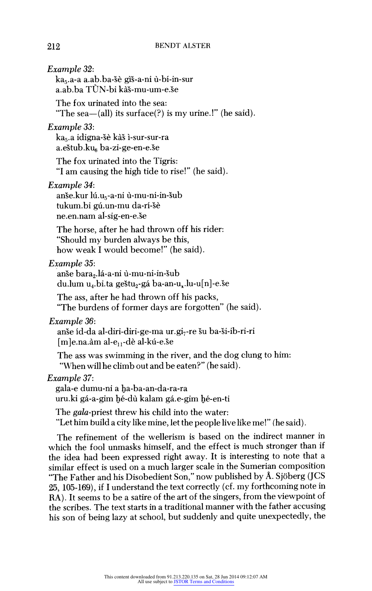**Example 32: ka.a-a a.ab.ba-se gis-a-ni u-bi-in-sur a.ab.ba TUN-bi kas-mu-um-e.se The fox urinated into the sea:**  "The sea $-$ (all) its surface(?) is my urine.!" (he said). **Example 33: ka5.a idigna-se kas i-sur-sur-ra a.estub.ku6 ba-zi-ge-en-e.se The fox urinated into the Tigris: "I am causing the high tide to rise!" (he said). Example 34:**  anše.kur lú.u<sub>5</sub>-a-ni ù-mu-ni-in-šub **tukum.bi gu.un-mu da-ri-se ne.en.nam al-sig-en-e.se The horse, after he had thrown off his rider: "Should my burden always be this, how weak I would become!" (he said). Example 35:**  anše bara<sub>2</sub>.lá-a-ni ù-mu-ni-in-šub du.lum u<sub>4</sub>.bi.ta geštu<sub>2</sub>-gá ba-an-u,.lu-u[n]-e.še **The ass, after he had thrown off his packs, "The burdens of former days are forgotten" (he said). Example 36:**  anše id-da al-diri-diri-ge-ma ur.gi<sub>7</sub>-re šu ba-ši-ib-ri-ri **[m]e.na.am al-e,,-de al-ku-e.se The ass was swimming in the river, and the dog clung to him: "When will he climb out and be eaten?" (he said). Example 37: gala-e dumu-ni a ha-ba-an-da-ra-ra uru.ki ga-a-gim he-dui kalam ga.e-gim he-en-ti The gala-priest threw his child into the water: "Let him build a city like mine, let the people live like me!" (he said).** 

**The refinement of the wellerism is based on the indirect manner in which the fool unmasks himself, and the effect is much stronger than if the idea had been expressed right away. It is interesting to note that a similar effect is used on a much larger scale in the Sumerian composition "The Father and his Disobedient Son," now published by A. Sj6berg (JCS 25, 105-169), if I understand the text correctly (cf. my forthcoming note in RA). It seems to be a satire of the art of the singers, from the viewpoint of the scribes. The text starts in a traditional manner with the father accusing his son of being lazy at school, but suddenly and quite unexpectedly, the** 

**212**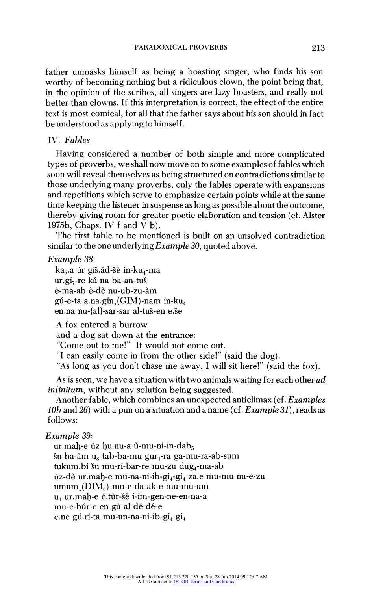**father unmasks himself as being a boasting singer, who finds his son worthy of becoming nothing but a ridiculous clown, the point being that, in the opinion of the scribes, all singers are lazy boasters, and really not better than clowns. If this interpretation is correct, the effect of the entire text is most comical, for all that the father says about his son should in fact be understood as applying to himself.** 

## **IV. Fables**

**Having considered a number of both simple and more complicated types of proverbs, we shall now move on to some examples of fables which soon will reveal themselves as being structured on contradictions similar to those underlying many proverbs, only the fables operate with expansions and repetitions which serve to emphasize certain points while at the same time keeping the listener in suspense as long as possible about the outcome, thereby giving room for greater poetic elaboration and tension (cf. Alster 1975b, Chaps. IV f and V b).** 

**The first fable to be mentioned is built on an unsolved contradiction similar to the one underlying Example 30, quoted above.** 

## **Example 38:**

**ka5.a ur gis.ad-se in-ku4-ma ur.gi7-re ka-na ba-an-tus e-ma-ab e-de nu-ub-zu-am**  gú-e-ta a.na.gin<sub>x</sub>(GIM)-nam in-ku<sub>4</sub> **en.na nu-{al}-sar-sar al-tus-en e.se** 

**A fox entered a burrow** 

**and a dog sat down at the entrance:** 

**"Come out to me!" It would not come out.** 

**"I can easily come in from the other side!" (said the dog).** 

**"As long as you don't chase me away, I will sit here!" (said the fox).** 

**As is seen, we have a situation with two animals waiting for each other ad infinitum, without any solution being suggested.** 

**Another fable, which combines an unexpected anticlimax (cf. Examples 10b and 26) with a pun on a situation and a name (cf. Example 31), reads as follows:** 

# **Example 39:**

ur.mah-e ùz hu.nu-a ù-mu-ni-in-dab<sub>5</sub> **su ba-am U8 tab-ba-mu gur4-ra ga-mu-ra-ab-sum**  tukum.bi šu mu-ri-bar-re mu-zu dug<sub>4</sub>-ma-ab ùz-dè ur.mah-e mu-na-ni-ib-gi<sub>4</sub>-gi<sub>4</sub> za.e mu-mu nu-e-zu **umumx(DIM6) mu-e-da-ak-e mu-mu-um u4 ur.mab-e e.tur-se i-im-gen-ne-en-na-a mu-e-bur-e-en gu al-de-de-e**  e.ne gú.ri-ta mu-un-na-ni-ib-gi<sub>4</sub>-gi<sub>4</sub>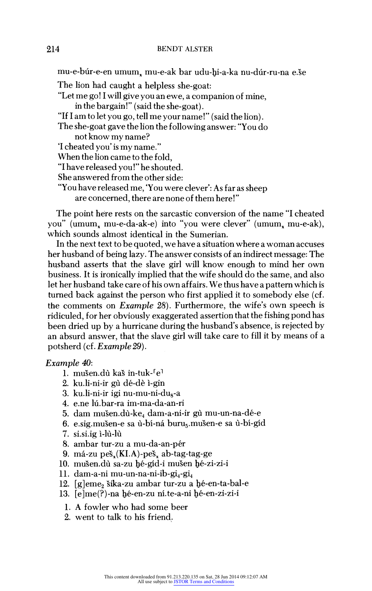**mu-e-bur-e-en umumx mu-e-ak bar udu-bi-a-ka nu-dur-ru-na e.se** 

**The lion had caught a helpless she-goat:** 

**"Let me go! I will give you an ewe, a companion of mine,** 

**in the bargain!" (said the she-goat).** 

**"If I am to let you go, tell me your name!" (said the lion).** 

**The she-goat gave the lion the following answer: "You do not know my name?** 

**'I cheated you' is my name."** 

**When the lion came to the fold,** 

**"I have released you!" he shouted.** 

**She answered from the other side:** 

**"You have released me, 'You were clever': As far as sheep are concerned, there are none of them here!"** 

**The point here rests on the sarcastic conversion of the name "I cheated you" (umum, mu-e-da-ak-e) into "you were clever" (umum, mu-e-ak), which sounds almost identical in the Sumerian.** 

**In the next text to be quoted, we have a situation where a woman accuses her husband of being lazy. The answer consists of an indirect message: The husband asserts that the slave girl will know enough to mind her own business. It is ironically implied that the wife should do the same, and also let her husband take care of his own affairs. We thus have a pattern which is turned back against the person who first applied it to somebody else (cf. the comments on Example 28). Furthermore, the wife's own speech is ridiculed, for her obviously exaggerated assertion that the fishing pond has been dried up by a hurricane during the husband's absence, is rejected by an absurd answer, that the slave girl will take care to fill it by means of a potsherd (cf. Example 29).** 

### **Example 40:**

- 1. mušen.dù kaš in-tuk-<sup>rel</sup>
- **2. ku.li-ni-ir gu de-de i-gin**
- 3. ku.li-ni-ir igi nu-mu-ni-du<sub>s</sub>-a
- **4. e.ne lu.bar-ra im-ma-da-an-ri**
- 5. dam mušen.dù-ke<sub>4</sub> dam-a-ni-ir gù mu-un-na-dé-e
- **6. e.sig.musen-e sa ul-bi-na buru5.musen-e sa u-bi-gid**
- **7. si.si.ig i-lu-lu**
- **8. ambar tur-zu a mu-da-an-per**
- 9. má-zu peš<sub>x</sub>(KI.A)-peš<sub>x</sub> ab-tag-tag-ge
- **10. musen.dui sa-zu be-gid-i musen be-zi-zi-i**
- 11. dam-a-ni mu-un-na-ni-ib-gi<sub>4</sub>-gi<sub>4</sub>
- 12. [g]eme<sub>2</sub> šika-zu ambar tur-zu a hé-en-ta-bal-e
- **13. [e]me(?)-na be-en-zu ni.te-a-ni be-en-zi-zi-i** 
	- **1. A fowler who had some beer**
	- **2. went to talk to his friend.**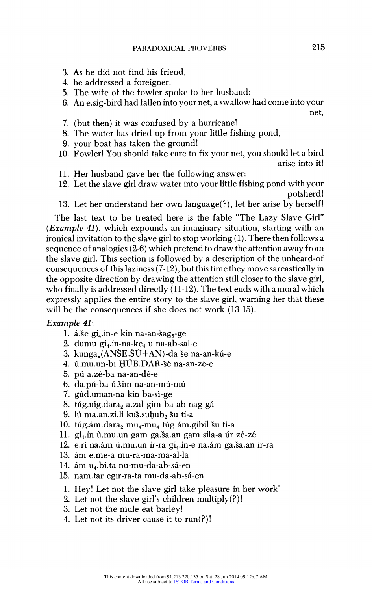- **3. As he did not find his friend,**
- **4. he addressed a foreigner.**
- **5. The wife of the fowler spoke to her husband:**
- **6. An e.sig-bird had fallen into your net, a swallow had come into your net,**
- **7. (but then) it was confused by a hurricane!**
- **8. The water has dried up from your little fishing pond,**
- **9. your boat has taken the ground!**
- **10. Fowler! You should take care to fix your net, you should let a bird arise into it!**
- **11. Her husband gave her the following answer:**
- **12. Let the slave girl draw water into your little fishing pond with your potsherd!**
- **13. Let her understand her own language(?), let her arise by herself!**

**The last text to be treated here is the fable "The Lazy Slave Girl" (Example 41), which expounds an imaginary situation, starting with an ironical invitation to the slave girl to stop working (1). There then follows a sequence of analogies (2-6) which pretend to draw the attention away from the slave girl. This section is followed by a description of the unheard-of consequences of this laziness (7-12), but this time they move sarcastically in the opposite direction by drawing the attention still closer to the slave girl, who finally is addressed directly (11-12). The text ends with a moral which expressly applies the entire story to the slave girl, warning her that these will be the consequences if she does not work (13-15).** 

#### **Example 41:**

- 1. á.še gi<sub>4</sub>.in-e kin na-an-šag<sub>5</sub>-ge
- 2. dumu gi<sub>4</sub>.in-na-ke<sub>4</sub> u na-ab-sal-e
- 3. kunga, $(AN\tilde{S}E.\tilde{S}\tilde{U}+AN)$ -da še na-an-kú-e
- **4. u.mu.un-bi JUB.DAR-se na-an-ze-e**
- **5. pu a.ze-ba na-an-de-e**
- **6. da.pu-ba u.sim na-an-mu-mui**
- **7. gud.uman-na kin ba-si-ge**
- 8. túg.níg.dara<sub>2</sub> a.zal-gim ba-ab-nag-gá
- 9. lú ma.an.zi.li kuš.subub<sub>2</sub> šu ti-a
- 10. túg.ám.dara<sub>2</sub> mu<sub>4</sub>-mu<sub>4</sub> túg ám.gibil šu ti-a
- **11. gi4.in u.mu.un gam ga.sa.an gam sila-a ur ze-ze**
- 12. e.ri na.ám ù.mu.un ir-ra gi<sub>4</sub>.in-e na.ám ga.ša.an ir-ra
- **13. am e.me-a mu-ra-ma-ma-al-la**
- **14. am u4.bi.ta nu-mu-da-ab-sa-en**
- **15. nam.tar egir-ra-ta mu-da-ab-sa-en**
- **1. Hey! Let not the slave girl take pleasure in her work!**
- **2. Let not the slave girl's children multiply(?)!**
- **3. Let not the mule eat barley!**
- **4. Let not its driver cause it to run(?)!**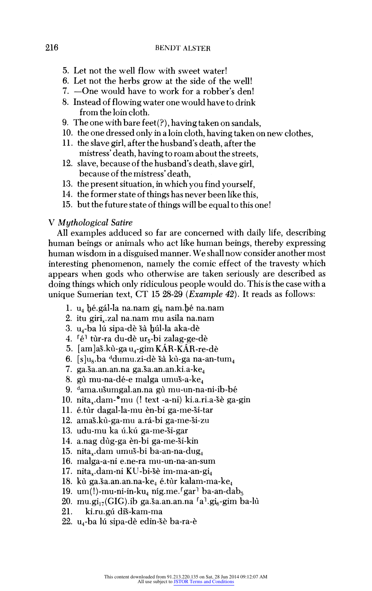- **5. Let not the well flow with sweet water!**
- **6. Let not the herbs grow at the side of the well!**
- **7. -One would have to work for a robber's den!**
- **8. Instead of flowing water one would have to drink from the loin cloth.**
- **9. The one with bare feet(?), having taken on sandals,**
- **10. the one dressed only in a loin cloth, having taken on new clothes,**
- **11. the slave girl, after the husband's death, after the mistress' death, having to roam about the streets,**
- **12. slave, because of the husband's death, slave girl, because of the mistress' death,**
- **13. the present situation, in which you find yourself,**
- **14. the former state of things has never been like this,**
- **15. but the future state of things will be equal to this one!**

#### **V Mythological Satire**

**All examples adduced so far are concerned with daily life, describing human beings or animals who act like human beings, thereby expressing human wisdom in a disguised manner. We shall now consider another most interesting phenomenon, namely the comic effect of the travesty which appears when gods who otherwise are taken seriously are described as doing things which only ridiculous people would do. This is the case with a unique Sumerian text, CT 15 28-29 (Example 42). It reads as follows:** 

- 1. u<sub>4</sub> bé.gál-la na.nam gi<sub>6</sub> nam.bé na.nam
- **2. itu giri,.zal na.nam mu asila na.nam**
- **3. u4-ba lii sipa-de sa bul-la aka-de**
- **4. rel tur-ra du-de ur5-bi zalag-ge-de**
- **5. [am]as.ku-ga u4-gim KAR-KAR-re-de**
- **6. [s]u8.ba ddumu.zi-de sa ku-ga na-an-tum4**
- **7. ga.sa.an.an.na ga.sa.an.an.ki.a-ke4**
- **8. gui mu-na-de-e malga umus-a-ke4**
- **9. dama.usumgal.an.na gu mu-un-na-ni-ib-be**
- 10. nita<sub>x</sub>.dam-\*mu (! text -a-ni) ki.a.ri.a-šè ga-gin
- **11. e.tur dagal-la-mu en-bi ga-me-si-tar**
- **12. amas.kui-ga-mu a.ra-bi ga-me-si-zu**
- 13. udu-mu ka ú.kú ga-me-ši-gar
- **14. a.nag dug-ga en-bi ga-me-si-kin**
- 15. nita<sub>v</sub>.dam umuš-bi ba-an-na-dug<sub>4</sub>
- **16. malga-a-ni e.ne-ra mu-un-na-an-sum**
- 17. nita, dam-ni KU-bi-šè im-ma-an-gi<sub>4</sub>
- 18. kù ga.ša.an.an.na-ke<sub>4</sub> é.tùr kalam-ma-ke<sub>4</sub>
- **19. um(!)-mu-ni-in-ku4 nig.me. gar1 ba-an-dab5**
- 20. mu.gi<sub>17</sub>(GIG).ib ga.ša.an.an.na <sup>r</sup>a<sup>1</sup>.gi<sub>6</sub>-gim ba-lù<br>21. ki.ru.gú diš-kam-ma
- **21. ki.ru.gui dis-kam-ma**
- **22. u4-ba lu sipa-de edin-se ba-ra-e**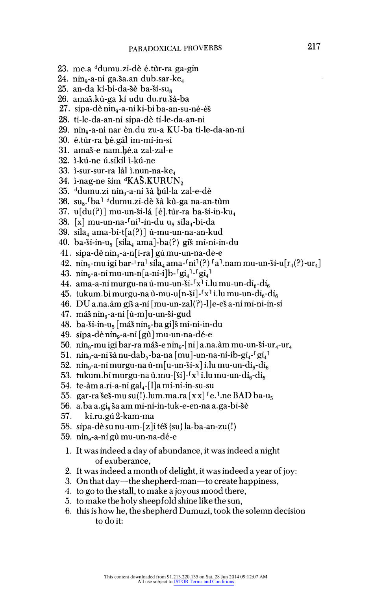- 23. me.a ddumu.zi-dè é.tùr-ra ga-gin
- 24. nin<sub>9</sub>-a-ni ga.ša.an dub.sar-ke<sub>4</sub>
- 25. an-da ki-bi-da-šè ba-ši-su<sub>s</sub>
- 26. amaš.kù-ga ki udu du.ru.šà-ba
- **27. sipa-d'e ning-a-ni ki-bi ba-an-su-ne'-e"**
- 28. ti-le-da-an-ni sipa-dè ti-le-da-an-ni
- **29. ning-a-ni nar e'n.du zu-a KU-ba ti-le-da-an-ni**
- **30. e'.tu'r-ra be'.ga'l im-mi-in-si**
- **31. ama's-e nam.1b.a zal-zal-e**
- **32. b-kt-ne ii.sikil i-ku-ne**
- **33. i-sur-sur-ra lal i.nun-na-ke4**
- 34. **i-nag-ne** šim <sup>d</sup>KAŠ.KURUN<sub>2</sub>
- 35. dumu.zi nin<sub>9</sub>-a-ni šà búl-la zal-e-dè
- 36. **su<sub>8</sub>**.<sup>*r*</sup>ba<sup>1 d</sup>dumu.zi-dè šà kù-ga na-an-tùm
- 37. u<sup>[du(?)]</sup> mu-un-ši-lá [é].tùr-ra ba-ši-in-ku<sub>4</sub>
- 38. [x] mu-un-na-<sup>[</sup>ni<sup>1</sup>-in-du u<sub>8</sub> sila<sub>4</sub>-bi-da
- **39. sila4 ama-bi-t[a(?)] u'-mu-un-na-an-kud**
- 40. ba-ši-in-u<sub>5</sub> [sila<sub>4</sub> ama]-ba(?) giš mi-ni-in-du
- **41. sipa-de ning-a-n[i-ra] gui mu-un-na-de-e**
- 42. nin<sub>9</sub>-mu igi bar-' ra<sup>1</sup> sila<sub>4</sub> ama-<sup> $\int$ ni<sup>1</sup>(?) <sup>r</sup>a<sup>1</sup>.nam mu-un-ši-u $\int$ r<sub>4</sub>(?)-ur<sub>4</sub></sup>
- $43. \text{nin}_{9}$ -a-ni mu-un-n[a-ni-i]b-<sup>[</sup>gi<sub>4</sub><sup>]</sup>-<sup>[</sup>gi<sub>4</sub><sup>]</sup>
- 44. ama-a-ni murgu-na **u**-mu-un-ši-<sup>r</sup>x<sup>1</sup> i.lu mu-un-di<sub>6</sub>-di<sub>6</sub>
- 45. tukum.bi murgu-na ù-mu-u[n-ši]-<sup>r</sup>x<sup>1</sup> i.lu mu-un-di<sub>6</sub>-di<sub>6</sub>
- **46. DU a.na.atm gi's a-ni [mu-un-zal(?)-l]e-e' a-ni mi-ni-in-si**
- 47. máš nin<sub>9</sub>-a-ni [ù-m]u-un-ši-gud
- **48. ba-'si-in-U5 [ma"s ning-ba gi]'s mi-ni-in-du**
- **49. sipa-de ning-a-ni [gi'] mu-un-na-de-e**
- 50. nin<sub>9</sub>-mu igi bar-ra máš-e nin<sub>9</sub>-[ni] a.na.àm mu-un-ši-ur<sub>4</sub>-ur<sub>4</sub>
- $51.$  nin<sub>9</sub>-a-ni šà nu-dab<sub>5</sub>-ba-na [mu]-un-na-ni-ib-gi<sub>4</sub>-<sup>[</sup>gi<sub>4</sub>]
- $52.$  nin<sub>9</sub>-a-ni murgu-na ù-m[u-un-ši-x] i.lu mu-un-di<sub>6</sub>-di<sub>6</sub>
- 53. tukum.bi murgu-na u`.mu-[ši]-<sup>r</sup>x<sup>1</sup> i.lu mu-un-di<sub>6</sub>-di<sub>6</sub>
- **54. te-am a.ri-a-ni gal4-[l]a mi-ni-in-su-su**
- **55. gar-ra kes-mu su(!) .lum.ma.ra [x x] re.].ne BAD ba-u5**
- 56. a.ba a.gi<sub>6</sub> ša am mi-ni-in-tuk-e-en-na a.ga-bi-šè<br>57. ki.ru.gú 2-kam-ma
- **57. ki.ru.gii 2-kam-ma**
- **58. sipa-de su nu-um-[z]i tes {sul la-ba-an-zu(!)**
- **59. ning-a-ni gui mu-un-na-de-e**
- **1. It was indeed a day of abundance, it was indeed a night of exuberance,**
- **2. It was indeed a month of delight, it was indeed a year of joy:**
- **3. On that day-the shepherd-man-to create happiness,**
- **4. to go to the stall, to make a joyous mood there,**
- **5. to make the holy sheepfold shine like the sun,**
- **6. this is how he, the shepherd Dumuzi, took the solemn decision to do it:**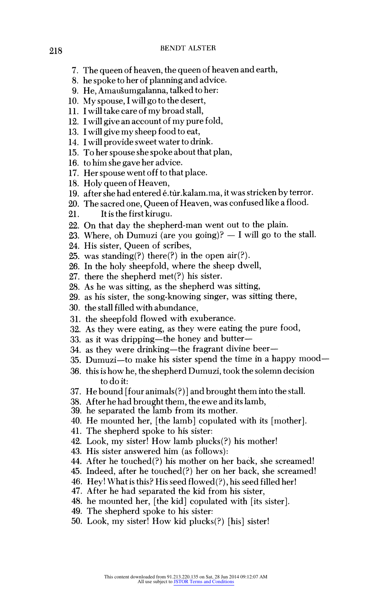#### **BENDT ALSTER**

- **7. The queen of heaven, the queen of heaven and earth,**
- **8. he spoke to her of planning and advice.**
- **9. He, Amausumgalanna, talked to her:**
- **10. My spouse, I will go to the desert,**
- **11. I will take care of my broad stall,**
- **12. I will give an account of my pure fold,**
- **13. I will give my sheep food to eat,**
- **14. I will provide sweet water to drink.**
- **15. To her spouse she spoke about that plan,**
- **16. to him she gave her advice.**
- **17. Her spouse went off to that place.**
- **18. Holy queen of Heaven,**
- **19. after she had entered e.tur.kalam.ma, it was stricken by terror.**
- **20. The sacred one, Queen of Heaven, was confused like a flood.**
- **21. It is the first kirugu.**
- **22. On that day the shepherd-man went out to the plain.**
- **23. Where, oh Dumuzi (are you going)? I will go to the stall.**
- **24. His sister, Queen of scribes,**
- **25. was standing(?) there(?) in the open air(?).**
- **26. In the holy sheepfold, where the sheep dwell,**
- **27. there the shepherd met(?) his sister.**
- **28. As he was sitting, as the shepherd was sitting,**
- **29. as his sister, the song-knowing singer, was sitting there,**
- **30. the stall filled with abundance,**
- **31. the sheepfold flowed with exuberance.**
- **32. As they were eating, as they were eating the pure food,**
- 33. as it was dripping-the honey and butter-
- 34. as they were drinking-the fragrant divine beer-
- **35. Dumuzi-to make his sister spend the time in a happy mood-**
- **36. this is how he, the shepherd Dumuzi, took the solemn decision to do it:**
- **37. He bound [four animals(?)] and brought them into the stall.**
- **38. After he had brought them, the ewe and its lamb,**
- **39. he separated the lamb from its mother.**
- **40. He mounted her, [the lamb] copulated with its [mother].**
- **41. The shepherd spoke to his sister:**
- **42. Look, my sister! How lamb plucks(?) his mother!**
- **43. His sister answered him (as follows):**
- **44. After he touched(?) his mother on her back, she screamed!**
- **45. Indeed, after he touched(?) her on her back, she screamed!**
- **46. Hey! What is this? His seed flowed(?), his seed filled her!**
- **47. After he had separated the kid from his sister,**
- **48. he mounted her, [the kid] copulated with [its sister].**
- **49. The shepherd spoke to his sister:**
- **50. Look, my sister! How kid plucks(?) [his] sister!**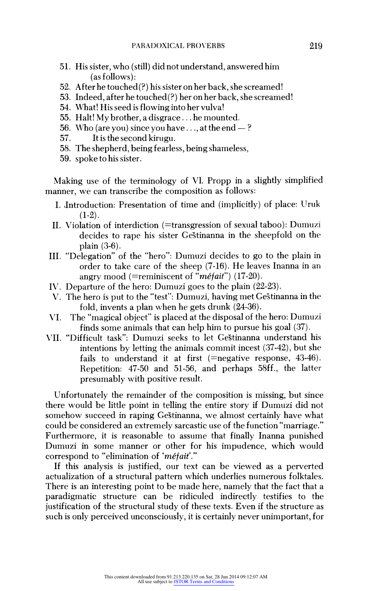- **51. His sister, who (still) did not understand, answered him (as follows):**
- **52. After he touched(?) his sister on her back, she screamed!**
- **53. Indeed, after he touched(?) her on her back, she screamed!**
- **54. What! His seed is flowing into her vulva!**
- **55. Halt! My brother, a disgrace... he mounted.**
- 56. Who (are you) since you have ..., at the end  $-$  ?<br>57. It is the second kirugu.
- **57. It is the second kirugu.**
- **58. The shepherd, being fearless, being shameless,**
- **59. spoke to his sister.**

**Making use of the terminology of VI. Propp in a slightly simplified manner, we can transcribe the composition as follows:** 

- **I. Introduction: Presentation of time and (implicitly) of place: Uruk (1-2).**
- **II. Violation of interdiction (=transgression of sexual taboo): Dumuzi decides to rape his sister Gestinanna in the sheepfold on the plain (3-6).**
- **III. "Delegation" of the "hero": Dumuzi decides to go to the plain in order to take care of the sheep (7-16). He leaves Inanna in an angry mood (=reminiscent of "mefait") (17-20).**
- **IV. Departure of the hero: Dumuzi goes to the plain (22-23).**
- **V. The hero is put to the "test": Dumuzi, having met Gestinanna in the fold, invents a plan when he gets drunk (24-36).**
- **VI. The "magical object" is placed at the disposal of the hero: Dumuzi finds some animals that can help him to pursue his goal (37).**
- **VII. "Difficult task": Dumuzi seeks to let Gestinanna understand his intentions by letting the animals commit incest (37-42), but she fails to understand it at first (=negative response, 43-46). Repetition: 47-50 and 51-56, and perhaps 58ff., the latter presumably with positive result.**

**Unfortunately the remainder of the composition is missing, but since there would be little point in telling the entire story if Dumuzi did not somehow succeed in raping Gestinanna, we almost certainly have what could be considered an extremely sarcastic use of the function "marriage." Furthermore, it is reasonable to assume that finally Inanna punished Dumuzi in some manner or other for his impudence, which would correspond to "elimination of 'mefait'."** 

**If this analysis is justified, our text can be viewed as a perverted actualization of a structural pattern which underlies numerous folktales. There is an interesting point to be made here, namely that the fact that a paradigmatic structure can be ridiculed indirectly testifies to the justification of the structural study of these texts. Even if the structure as such is only perceived unconsciously, it is certainly never unimportant, for**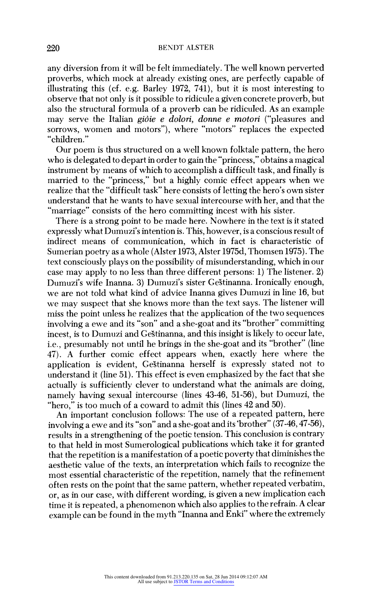**any diversion from it will be felt immediately. The well known perverted proverbs, which mock at already existing ones, are perfectly capable of illustrating this (cf. e.g. Barley 1972, 741), but it is most interesting to observe that not only is it possible to ridicule a given concrete proverb, but also the structural formula of a proverb can be ridiculed. As an example may serve the Italian gioie e dolori, donne e motori ("pleasures and sorrows, women and motors"), where "motors" replaces the expected "children."** 

**Our poem is thus structured on a well known folktale pattern, the hero who is delegated to depart in order to gain the "princess," obtains a magical instrument by means of which to accomplish a difficult task, and finally is married to the "princess," but a highly comic effect appears when we realize that the "difficult task" here consists of letting the hero's own sister understand that he wants to have sexual intercourse with her, and that the "marriage" consists of the hero committing incest with his sister.** 

**There is a strong point to be made here. Nowhere in the text is it stated expressly what Dumuzi's intention is. This, however, is a conscious result of indirect means of communication, which in fact is characteristic of Sumerian poetry as a whole (Alster 1973, Alster 1975d, Thomsen 1975). The text consciously plays on the possibility of misunderstanding, which in our case may apply to no less than three different persons: 1) The listener. 2) Dumuzi's wife Inanna. 3) Dumuzi's sister Gestinanna. Ironically enough, we are not told what kind of advice Inanna gives Dumuzi in line 16, but we may suspect that she knows more than the text says. The listener will miss the point unless he realizes that the application of the two sequences involving a ewe and its "son" and a she-goat and its "brother" committing incest, is to Dumuzi and Gestinanna, and this insight is likely to occur late, i.e., presumably not until he brings in the she-goat and its "brother" (line 47). A further comic effect appears when, exactly here where the application is evident, Gestinanna herself is expressly stated not to understand it (line 51). This effect is even emphasized by the fact that she actually is sufficiently clever to understand what the animals are doing, namely having sexual intercourse (lines 43-46, 51-56), but Dumuzi, the "hero," is too much of a coward to admit this (lines 42 and 50).** 

**An important conclusion follows: The use of a repeated pattern, here involving a ewe and its "son" and a she-goat and its 'brother" (37-46,47-56), results in a strengthening of the poetic tension. This conclusion is contrary to that held in most Sumerological publications which take it for granted that the repetition is a manifestation of a poetic poverty that diminishes the aesthetic value of the texts, an interpretation which fails to recognize the most essential characteristic of the repetition, namely that the refinement often rests on the point that the same pattern, whether repeated verbatim, or, as in our case, with different wording, is given a new implication each time it is repeated, a phenomenon which also applies to the refrain. A clear example can be found in the myth "Inanna and Enki" where the extremely**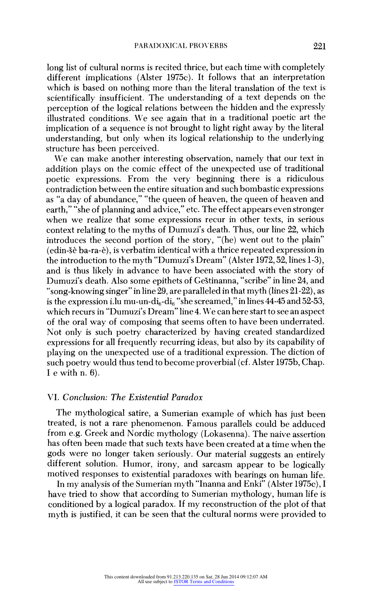**long list of cultural norms is recited thrice, but each time with completely different implications (Alster 1975c). It follows that an interpretation which is based on nothing more than the literal translation of the text is scientifically insufficient. The understanding of a text depends on the perception of the logical relations between the hidden and the expressly illustrated conditions. We see again that in a traditional poetic art the implication of a sequence is not brought to light right away by the literal understanding, but only when its logical relationship to the underlying structure has been perceived.** 

**We can make another interesting observation, namely that our text in addition plays on the comic effect of the unexpected use of traditional poetic expressions. From the very beginning there is a ridiculous contradiction between the entire situation and such bombastic expressions as "a day of abundance," "the queen of heaven, the queen of heaven and earth," "she of planning and advice," etc. The effect appears even stronger when we realize that some expressions recur in other texts, in serious context relating to the myths of Dumuzi's death. Thus, our line 22, which introduces the second portion of the story, "(he) went out to the plain" (edin-se ba-ra-e), is verbatim identical with a thrice repeated expression in the introduction to the myth "Dumuzi's Dream" (Alster 1972,52, lines 1-3), and is thus likely in advance to have been associated with the story of Dumuzi's death. Also some epithets of Ge&stinanna, "scribe" in line 24, and "song-knowing singer" in line 29, are paralleled in that myth (lines 21-22), as**  is the expression i.lu mu-un-di $_6$ -di $_6$  "she screamed," in lines  $44$ - $45$  and  $52$ - $53$ , **which recurs in "Dumuzi's Dream" line 4. We can here start to see an aspect of the oral way of composing that seems often to have been underrated. Not only is such poetry characterized by having created standardized expressions for all frequently recurring ideas, but also by its capability of playing on the unexpected use of a traditional expression. The diction of such poetry would thus tend to become proverbial (cf. Alster 1975b, Chap. I e with n. 6).** 

## **VI. Conclusion: The Existential Paradox**

**The mythological satire, a Sumerian example of which has just been treated, is not a rare phenomenon. Famous parallels could be adduced from e.g. Greek and Nordic mythology (Lokasenna). The naive assertion has often been made that such texts have been created at a time when the gods were no longer taken seriously. Our material suggests an entirely different solution. Humor, irony, and sarcasm appear to be logically motived responses to existential paradoxes with bearings on human life.** 

**In my analysis of the Sumerian myth "Inanna and Enki" (Alster 1975c), I have tried to show that according to Sumerian mythology, human life is conditioned by a logical paradox. If my reconstruction of the plot of that myth is justified, it can be seen that the cultural norms were provided to**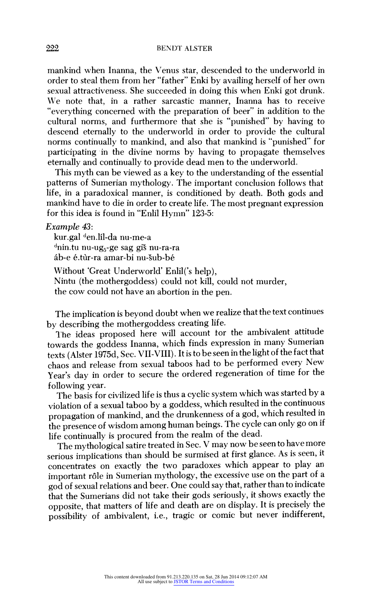**mankind when Inanna, the Venus star, descended to the underworld in order to steal them from her "father" Enki by availing herself of her own sexual attractiveness. She succeeded in doing this when Enki got drunk. We note that, in a rather sarcastic manner, Inanna has to receive "everything concerned with the preparation of beer" in addition to the cultural norms, and furthermore that she is "punished" by having to descend eternally to the underworld in order to provide the cultural norms continually to mankind, and also that mankind is "punished" for participating in the divine norms by having to propagate themselves eternally and continually to provide dead men to the underworld.** 

**This myth can be viewed as a key to the understanding of the essential patterns of Sumerian mythology. The important conclusion follows that life, in a paradoxical manner, is conditioned by death. Both gods and mankind have to die in order to create life. The most pregnant expression for this idea is found in "Enlil Hymn" 123-5:** 

#### **Example 43:**

**kur.gal den.lil-da nu-me-a**  <sup>d</sup>nin.tu nu-ug<sub>5</sub>-ge sag giš nu-ra-ra **ab-e e.tur-ra amar-bi nu-sub-be** 

**Without 'Great Underworld' Enlil('s help), Nintu (the mothergoddess) could not kill, could not murder, the cow could not have an abortion in the pen.** 

**The implication is beyond doubt when we realize that the text continues by describing the mothergoddess creating life.** 

**The ideas proposed here will account tor the ambivalent attitude towards the goddess Inanna, which finds expression in many Sumerian texts (Alster 1975d, Sec. VII-VIII). It is to be seen in the light of the fact that chaos and release from sexual taboos had to be performed every New Year's day in order to secure the ordered regeneration of time for the following year.** 

**The basis for civilized life is thus a cyclic system which was started by a violation of a sexual taboo by a goddess, which resulted in the continuous propagation of mankind, and the drunkenness of a god, which resulted in the presence of wisdom among human beings. The cycle can only go on if life continually is procured from the realm of the dead.** 

**The mythological satire treated in Sec. V may now be seen to have more serious implications than should be surmised at first glance. As is seen, it concentrates on exactly the two paradoxes which appear to play an important role in Sumerian mythology, the excessive use on the part of a god of sexual relations and beer. One could say that, rather than to indicate that the Sumerians did not take their gods seriously, it shows exactly the opposite, that matters of life and death are on display. It is precisely the possibility of ambivalent, i.e., tragic or comic but never indifferent,**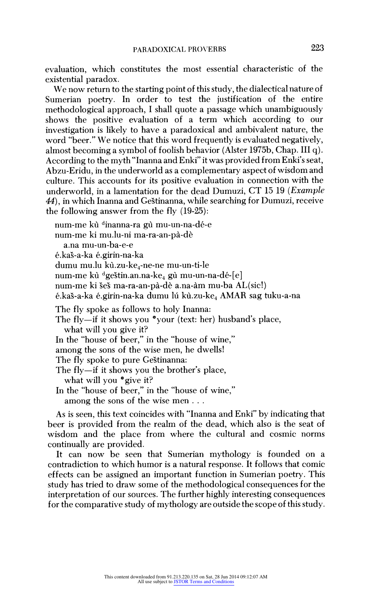**evaluation, which constitutes the most essential characteristic of the existential paradox.** 

**We now return to the starting point of this study, the dialectical nature of Sumerian poetry. In order to test the justification of the entire methodological approach, I shall quote a passage which unambiguously shows the positive evaluation of a term which according to our investigation is likely to have a paradoxical and ambivalent nature, the word "beer." We notice that this word frequently is evaluated negatively, almost becoming a symbol of foolish behavior (Alster 1975b, Chap. III q). According to the myth "Inanna and Enki" it was provided from Enki's seat, Abzu-Eridu, in the underworld as a complementary aspect of wisdom and culture. This accounts for its positive evaluation in connection with the underworld, in a lamentation for the dead Dumuzi, CT 15 19 (Example 44), in which Inanna and Gestinanna, while searching for Dumuzi, receive the following answer from the fly (19-25):** 

**num-me ku dinanna-ra gu mu-un-na-de-e num-me ki mu.lu-ni ma-ra-an-pa-de a.na mu-un-ba-e-e e.kas-a-ka e.girin-na-ka**  dumu mu.lu kù.zu-ke<sub>4</sub>-ne-ne mu-un-ti-le num-me kù <sup>d</sup>geštin.an.na-ke<sub>4</sub> gù mu-un-na-dé-[e] num-me ki šeš ma-ra-an-pà-dè a.na-àm mu-ba AL(sic!) **e.kas-a-ka e.girin-na-ka dumu lu ku.zu-ke4 AMAR sag tuku-a-na The fly spoke as follows to holy Inanna: The fly-if it shows you \*your (text: her) husband's place, what will you give it? In the "house of beer," in the "house of wine," among the sons of the wise men, he dwells!**  The fly spoke to pure Geštinanna: **The fly-if it shows you the brother's place, what will you \*give it? In the "house of beer," in the "house of wine," among the sons of the wise men ...** 

**As is seen, this text coincides with "Inanna and Enki" by indicating that beer is provided from the realm of the dead, which also is the seat of wisdom and the place from where the cultural and cosmic norms continually are provided.** 

**It can now be seen that Sumerian mythology is founded on a contradiction to which humor is a natural response. It follows that comic effects can be assigned an important function in Sumerian poetry. This study has tried to draw some of the methodological consequences for the interpretation of our sources. The further highly interesting consequences for the comparative study of mythology are outside the scope of this study.**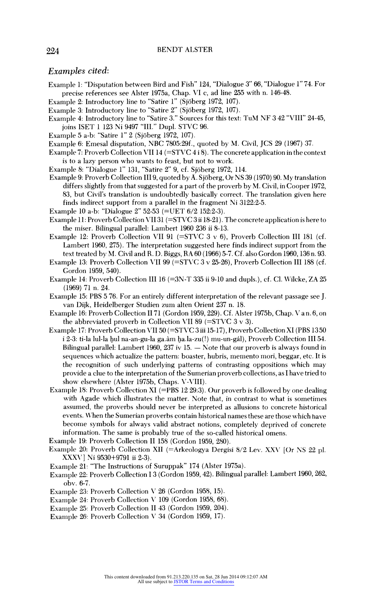#### **Examples cited:**

- **Example 1: "Disputation between Bird and Fish" 124, "Dialogue 3" 66, "Dialogue 1" 74. For precise references see Alster 1975a, Chap. VI c, ad line 255 with n. 146-48.**
- **Example 2: Introductory line to "Satire 1" (Sjoberg 1972, 107).**
- **Example 3: Introductory line to "Satire 2" (Sjoberg 1972, 107).**
- **Example 4: Introductory line to "Satire 3." Sources for this text: TuM NF 3 42 "VIII" 24-45, joins ISET 1 123 Ni 9497 "III." Dupl. STVC 96.**
- **Example 5 a-b: "Satire 1" 2 (Sjoberg 1972, 107).**
- **Example 6: Emesal disputation, NBC 7805:29f., quoted by M. Civil, JCS 29 (1967) 37.**
- **Example 7: Proverb Collection VII 14 (=STVC 4 i 8). The concrete application in the context is to a lazy person who wants to feast, but not to work.**
- **Example 8: "Dialogue 1" 131, "Satire 2" 9, cf. Sjoberg 1972, 114.**
- **Example 9: Proverb Collection III 9, quoted by A. Sj6berg, Or NS 39 (1970) 90. My translation differs slightly from that suggested for a part of the proverb by M. Civil, in Cooper 1972, 83, but Civil's translation is undoubtedly basically correct. The translation given here finds indirect support from a parallel in the fragment Ni 3122:2-5.**
- **Example 10 a-b: "Dialogue 2" 52-53 (=UET 6/2 152:2-3).**
- **Example 11: Proverb Collection VII 31 (=STVC 3 ii 18-21). The concrete application is here to the miser. Bilingual parallel: Lambert 1960 236 ii 8-13.**
- **Example 12: Proverb Collection VII 91 (=STVC 3 v 6), Proverb Collection III 181 (cf. Lambert 1960, 275). The interpretation suggested here finds indirect support from the**  text treated by M. Civil and R. D. Biggs, RA 60 (1966) 5-7. Cf. also Gordon 1960, 136 n. 93.
- **Example 13: Proverb Collection VII 99 (=STVC 3 v 25-26), Proverb Collection III 188 (cf. Gordon 1959, 540).**
- **Example 14: Proverb Collection III 16 (=3N-T 335 ii 9-10 and dupls.), cf. Cl. Wilcke, ZA 25 (1969) 71 n. 24.**
- **Example 15: PBS 5 76. For an entirely different interpretation of the relevant passage see J. van Dijk, Heidelberger Studien zum alten Orient 237 n. 18.**
- **Example 16: Proverb Collection II 71 (Gordon 1959, 229). Cf. Alster 1975b, Chap. V an. 6, on the abbreviated proverb in Collection VII 89 (=STVC 3 v 3).**
- **Example 17: Proverb Collection VII 50 (=STVC 3 iii 15-17), Proverb Collection XI (PBS 13 50 i 2-3: ti-la lul-la bul na-an-gu-la ga.am ba.la-zu(!) mu-un-gal), Proverb Collection III 54. Bilingual parallel: Lambert 1960, 237 iv 15. - Note that our proverb is always found in sequences which actualize the pattern: boaster, hubris, memento mori, beggar, etc. It is the recognition of such underlying patterns of contrasting oppositions which may provide a clue to the interpretation of the Sumerian proverb collections, as I have tried to show elsewhere (Alster 1975b, Chaps. V-VIII).**
- **Example 18: Proverb Collection XI (=PBS 12 29:3). Our proverb is followed by one dealing with Agade which illustrates the matter. Note that, in contrast to what is sometimes assumed, the proverbs should never be interpreted as allusions to concrete historical events. When the Sumerian proverbs contain historical names these are those which have become symbols for always valid abstract notions, completely deprived of concrete information. The same is probably true of the so-called historical omens.**
- **Example 19: Proverb Collection II 158 (Gordon 1959, 280).**
- **Example 20: Proverb Collection XII (=Arkeologya Dergisi 8/2 Lev. XXV [Or NS 22 pi. XXXV] Ni 9530+9791 ii 2-3).**
- **Example 21: "The Instructions of Suruppak" 174 (Alster 1975a).**
- **Example 22: Proverb Collection I 3 (Gordon 1959, 42). Bilingual parallel: Lambert 1960, 262, obv. 6-7.**
- **Example 23: Proverb Collection V 26 (Gordon 1958, 15).**
- **Example 24: Proverb Collection V 109 (Gordon 1958, 68).**
- **Example 25: Proverb Collection II 43 (Gordon 1959, 204).**
- **Example 26: Proverb Collection V 34 (Gordon 1959, 17).**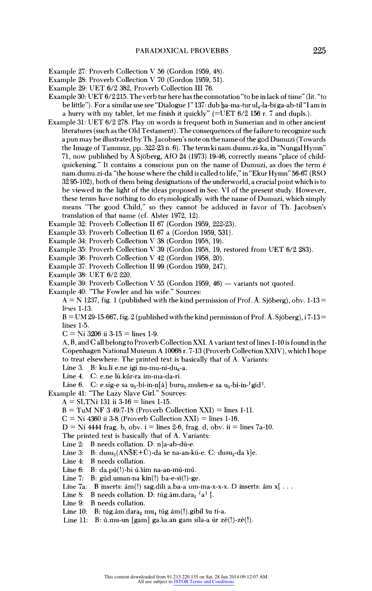- **Example 27: Proverb Collection V 56 (Gordon 1959, 48).**
- **Example 28: Proverb Collection V 70 (Gordon 1959, 51).**
- **Example 29: UET 6/2 382, Proverb Collection III 76.**
- **Example 30: UET 6/2 215. The verb tur here has the connotation "to be in lack of time" (lit. "to be little"). For a similar use see "Dialogue 1" 137: dub ba-ma-tur u14-la-bi ga-ab-til "I am in a hurry with my tablet, let me finish it quickly" (=UET 6/2 156 r. 7 and dupls.).**
- **Example 31: UET 6/2 278. Play on words is frequent both in Sumerian and in other ancient literatures (such as the Old Testament). The consequences of the failure to recognize such a pun may be illustrated by Th. Jacobsen's note on the name of the god Dumuzi (Towards the Image of Tammuz, pp. 322-23 n. 6). The term ki nam.dumu.zi-ka, in "Nungal Hymn" 71, now published by A Sj6berg, AfO 24 (1973) 19-46, correctly means "place of childquickening." It contains a conscious pun on the name of Dumuzi, as does the term e nam.dumu.zi-da "the house where the child is called to life," in "Ekur Hymn" 56-67 (RSO 32 95-102), both of them being designations of the underworld, a crucial point which is to be viewed in the light of the ideas proposed in Sec. VI of the present study. However, these terms have nothing to do etymologically with the name of Dumuzi, which simply means "The good Child," so they cannot be adduced in favor of Th. Jacobsen's translation of that name (cf. Alster 1972, 12).**

**Example 32: Proverb Collection II 67 (Gordon 1959, 222-23).** 

- **Example 33: Proverb Collection II 67 a (Gordon 1959, 531).**
- **Example 34: Proverb Collection V 38 (Gordon 1958, 19).**
- **Example 35: Proverb Collection V 39 (Gordon 1958, 19, restored from UET 6/2 283).**
- **Example 36: Proverb Collection V 42 (Gordon 1958, 20).**
- **Example 37: Proverb Collection II 99 (Gordon 1959, 247).**
- **Example 38: UET 6/2 220.**
- **Example 39: Proverb Collection V 55 (Gordon 1959, 46) variants not quoted.**
- **Example 40: "The Fowler and his wife." Sources:** 
	- $A = N$  1237, fig. 1 (published with the kind permission of Prof.  $\AA$ . Sjöberg), obv. 1-13 = **lines 1-13.**
	- $B = UM$  29-15-667, fig. 2 (published with the kind permission of Prof.  $\hat{A}$ . Sjöberg), i 7-13 = **lines 1-5.**
	- **C = Ni 3206 ii 3-15 = lines 1-9.**

**A, B, and C all belong to Proverb Collection XXI. A variant text of lines 1-10 is found in the Copenhagen National Museum A 10068 r. 7-13 (Proverb Collection XXIV), which I hope to treat elsewhere. The printed text is basically that of A. Variants:** 

- **Line 3. B: ku.li e.ne igi nu-mu-ni-dus-a.**
- **Line 4. C: e.ne 16.kur-ra im-ma-da-ri.**
- Line 6. C: e.sig-e sa u<sub>5</sub>-bi-in-n[á] buru<sub>5</sub>.mušen-e sa u<sub>5</sub>-bi-in-<sup>r</sup>gid<sup>1</sup>.
- **Example 41: "The Lazy Slave Girl." Sources:** 
	- **A = SLTNi 131 ii 3-16 = lines 1-15.** 
		- $B = T u$ M NF 3 49:7-18 (Proverb Collection XXI) = lines 1-11.
		- **C = Ni 4360 ii 3-8 (Proverb Collection XXI) = lines 1-16.**
		- $D = Ni 4444$  frag. b, obv.  $i = lines 2-6$ , frag. d, obv.  $ii = lines 7a-10$ .
		- **The printed text is basically that of A. Variants:**
		- Line 2: B needs collation. D: n]a-ab-dù-e.<br>Line 3: B: dusu<sub>2</sub>(ANŠE+Ù)-da še na-an-k
		- Line 3: B:  $dusu_2(AN\breve{\mathbf{S}}E+\breve{\mathbf{U}})$ -da še na-an-kú-e. C:  $dusu_2$ -da š]e. <br>
		Line 4: B needs collation.
		- **Line 4: B needs collation.**
		- Line 6: B: da.pú(!)-bi ú.šim na-an-mú-mú.
		- Line 7: B: gud.uman-na kin(!) ba-e-si(!)-ge.
		- **Line 7a: B inserts: am(!) sag.dili a.ba-a um-ma-x-x-x. D inserts: am x[ . ..**
		- Line 8: B needs collation. D: túg.ám.dara<sub>2</sub> <sup>[a]</sup> [.
		- **Line 9: B needs collation.**
		- Line 10: B: túg.ám.dara<sub>2</sub> mu<sub>4</sub> túg ám(!).gibil šu ti-a.
		- Line 11: B: ù.mu-un [gam] ga.ša.an gam sila-a úr zé(!)-zé(!).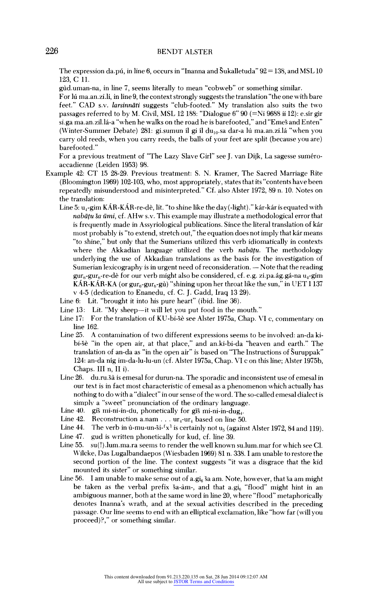## **226 BENDT ALSTER**

**The expression da.p6, in line 6, occurs in "Inanna and Sukalletuda" 92 = 138, and MSL 10 123, C 11.** 

**gud.uman-na, in line 7, seems literally to mean "cobweb" or something similar.** 

**For lu ma.an.zi.li, in line 9, the context strongly suggests the translation "the one with bare feet." CAD s.v. larsinnati suggests "club-footed." My translation also suits the two passages referred to by M. Civil, MSL 12 188: "Dialogue 6" 90 (=Ni 9688 ii 12): e.sir gir si.ga ma.an.zil.la-a "when he walks on the road he is barefooted," and "Emes and Enten"**  (Winter-Summer Debate) 281: gi.sumun il gi il du<sub>10</sub>.sa dar-a lú ma.an.zi.lá "when you **carry old reeds, when you carry reeds, the balls of your feet are split (because you are) barefooted."** 

For a previous treatment of "The Lazy Slave Girl" see J. van Dijk, La sagesse suméro**accadienne (Leiden 1953) 98.** 

- **Example 42: CT 15 28-29. Previous treatment: S. N. Kramer, The Sacred Marriage Rite (Bloomington 1969) 102-103, who, most appropriately, states that its "contents have been repeatedly misunderstood and misinterpreted." Cf. also Alster 1972, 89 n. 10. Notes on the translation:** 
	- Line 5: u<sub>4</sub>-gim KAR-KAR-re-dè, lit. "to shine like the day (-light)." kár-kár is equated with nabāțu ša ūmi, cf. AHw s.v. This example may illustrate a methodological error that **is frequently made in Assyriological publications. Since the literal translation of kar**  most probably is "to extend, stretch out," the equation does not imply that kár means **"to shine," but only that the Sumerians utilized this verb idiomatically in contexts where the Akkadian language utilized the verb nabatu. The methodology underlying the use of Akkadian translations as the basis for the investigation of Sumerian lexicography is in urgent need of reconsideration. - Note that the reading gur,-gur,-re-de for our verb might also be considered, cf. e.g. zi.pa.ag.ga-na u4-gim KÁR-KÁR-KA** (or  $\text{gur}_6\text{-}\text{gur}_6\text{-}\text{gù}$ ) "shining upon her throat like the sun," in UET 1137 **v 4-5 (dedication to Enanedu, cf. C. J. Gadd, Iraq 13 29).**
	- **Line 6: Lit. "brought it into his pure heart" (ibid. line 36).**
	- **Line 13: Lit. "My sheep-it will let you put food in the mouth."**
	- For the translation of KU-bi-šè see Alster 1975a, Chap. VI c, commentary on **line 162.**
	- **Line 25. A contamination of two different expressions seems to be involved: an-da kibi-se "in the open air, at that place," and an.ki-bi-da "heaven and earth." The translation of an-da as "in the open air" is based on "The Instructions of Suruppak" 124: an-da nig im-da-lu-lu-un (cf. Alster 1975a, Chap. VI c on this line; Alster 1975b, Chaps. III n, II i).**
	- **Line 26. du.ru.sa is emesal for durun-na. The sporadic and inconsistent use of emesal in our text is in fact most characteristic of emesal as a phenomenon which actually has nothing to do with a "dialect" in our sense of the word. The so-called emesal dialect is simply a "sweet" pronunciation of the ordinary language.**
	- **Line 40. gis mi-ni-in-du, phonetically for gil mi-ni-in-dug4.**
	- Line 42. Reconstruction a.nam . . . ur<sub>4</sub>-ur<sub>4</sub> based on line 50.<br>Line 44. The verb in ù-mu-un-ši-<sup>r</sup>x<sup>1</sup> is certainly not u<sub>s</sub> (agains
	- Line 44. The verb in  $\hat{u}$ -mu-un-ši-<sup>r</sup>x<sup>1</sup> is certainly not  $u_5$  (against Alster 1972, 84 and 119). Line 47. gud is written phonetically for kud. cf. line 39.

**Line 47. gud is written phonetically for kud, cf. line 39.** 

- **Line 55. su(!).lum.ma.ra seems to render the well known su.lum.mar for which see Cl. Wilcke, Das Lugalbandaepos (Wiesbaden 1969) 81 n. 338. I am unable to restore the second portion of the line. The context suggests "it was a disgrace that the kid mounted its sister" or something similar.**
- Line 56. I am unable to make sense out of a.gi<sub>6</sub> ša am. Note, however, that ša am might be taken as the verbal prefix ša-àm-, and that a.gi<sub>6</sub> "flood" might hint in an **ambiguous manner, both at the same word in line 20, where "flood" metaphorically denotes Inanna's wrath, and at the sexual activities described in the preceding passage. Our line seems to end with an elliptical exclamation, like "how far (will you proceed)?," or something similar.**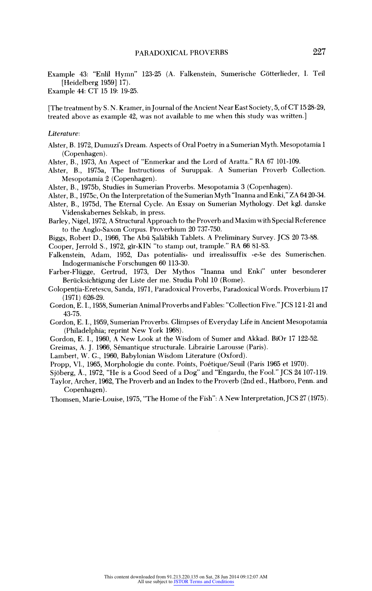**Example 43: "Enlil Hymn" 123-25 (A. Falkenstein, Sumerische Gotterlieder, I. Teil [Heidelberg 1959] 17).** 

**Example 44: CT 15 19: 19-25.** 

**[The treatment by S. N. Kramer, in Journal of the Ancient Near East Society, 5, of CT 15 28-29, treated above as example 42, was not available to me when this study was written.]** 

#### **Literature:**

- **Alster, B. 1972, Dumuzi's Dream. Aspects of Oral Poetry in a Sumerian Myth. Mesopotamia 1 (Copenhagen).**
- **Alster, B., 1973, An Aspect of "Enmerkar and the Lord of Aratta." RA 67 101-109.**
- **Alster, B., 1975a, The Instructions of Suruppak. A Sumerian Proverb Collection. Mesopotamia 2 (Copenhagen).**
- **Alster, B., 1975b, Studies in Sumerian Proverbs. Mesopotamia 3 (Copenhagen).**
- **Alster, B., 1975c, On the Interpretation of the Sumerian Myth "Inanna and Enki," ZA 64 20-34.**
- **Alster, B., 1975d, The Eternal Cycle. An Essay on Sumerian Mythology. Det kgl. danske Videnskabernes Selskab, in press.**
- **Barley, Nigel, 1972, A Structural Approach to the Proverb and Maxim with Special Reference to the Anglo-Saxon Corpus. Proverbium 20 737-750.**

**Biggs, Robert D., 1966, The Abu Salabikh Tablets. A Preliminary Survey. JCS 20 73-88.** 

**Cooper, Jerrold S., 1972, gir-KIN "to stamp out, trample." RA 66 81-83.** 

**Falkenstein, Adam, 1952, Das potentialis- und irrealissuffix -e-se des Sumerischen. Indogermanische Forschungen 60 113-30.** 

**Farber-Fliigge, Gertrud, 1973, Der Mythos "Inanna und Enki" unter besonderer Beriicksichtigung der Liste der me. Studia Pohl 10 (Rome).** 

- **Golopentia-Eretescu, Sanda, 1971, Paradoxical Proverbs, Paradoxical Words. Proverbium 17 (1971) 626-29.**
- **Gordon, E. I., 1958, Sumerian Animal Proverbs and Fables: "Collection Five." JCS 121-21 and 43-75.**
- **Gordon, E. I., 1959, Sumerian Proverbs. Glimpses of Everyday Life in Ancient Mesopotamia (Philadelphia; reprint New York 1968).**
- **Gordon, E. I., 1960, A New Look at the Wisdom of Sumer and Akkad. BiOr 17 122-52.**
- Greimas, A. J. 1966, Sémantique structurale. Librairie Larousse (Paris).

**Lambert, W. G., 1960, Babylonian Wisdom Literature (Oxford).** 

**Propp, VI., 1965, Morphologie du conte. Points, Po6tique/Seuil (Paris 1965 et 1970).** 

**Sjoberg, A., 1972, "He is a Good Seed of a Dog" and "Engardu, the Fool." JCS 24 107-119.** 

**Taylor, Archer, 1962, The Proverb and an Index to the Proverb (2nd ed., Hatboro, Penn. and Copenhagen).** 

**Thomsen, Marie-Louise, 1975, "The Home of the Fish": A New Interpretation, JCS 27 (1975).**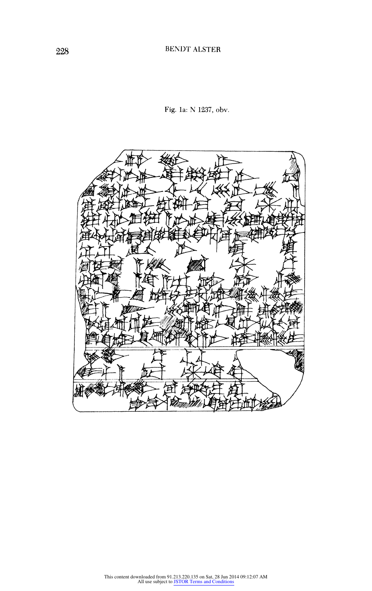**Fig. la: N 1237, obv.** 

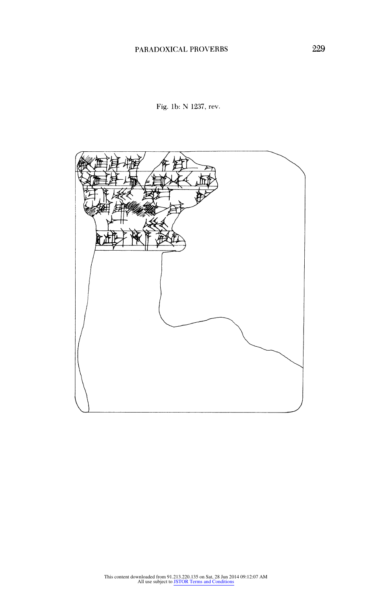## **Fig. lb: N 1237, rev.**